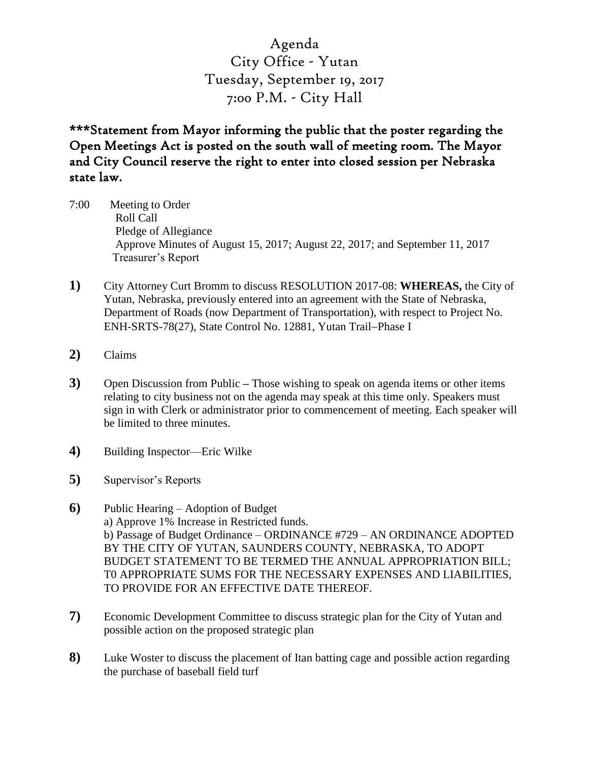Agenda City Office - Yutan Tuesday, September 19, 2017 7:00 P.M. - City Hall

\*\*\*Statement from Mayor informing the public that the poster regarding the Open Meetings Act is posted on the south wall of meeting room. The Mayor and City Council reserve the right to enter into closed session per Nebraska state law.

- 7:00 Meeting to Order Roll Call Pledge of Allegiance Approve Minutes of August 15, 2017; August 22, 2017; and September 11, 2017 Treasurer's Report
- **1)** City Attorney Curt Bromm to discuss RESOLUTION 2017-08: **WHEREAS,** the City of Yutan, Nebraska, previously entered into an agreement with the State of Nebraska, Department of Roads (now Department of Transportation), with respect to Project No. ENH-SRTS-78(27), State Control No. 12881, Yutan Trail-Phase I
- **2)** Claims
- **3)** Open Discussion from Public **–** Those wishing to speak on agenda items or other items relating to city business not on the agenda may speak at this time only. Speakers must sign in with Clerk or administrator prior to commencement of meeting. Each speaker will be limited to three minutes.
- **4)** Building Inspector—Eric Wilke
- **5)** Supervisor's Reports
- **6)** Public Hearing Adoption of Budget a) Approve 1% Increase in Restricted funds. b) Passage of Budget Ordinance – ORDINANCE #729 – AN ORDINANCE ADOPTED BY THE CITY OF YUTAN, SAUNDERS COUNTY, NEBRASKA, TO ADOPT BUDGET STATEMENT TO BE TERMED THE ANNUAL APPROPRIATION BILL; T0 APPROPRIATE SUMS FOR THE NECESSARY EXPENSES AND LIABILITIES, TO PROVIDE FOR AN EFFECTIVE DATE THEREOF.
- **7)** Economic Development Committee to discuss strategic plan for the City of Yutan and possible action on the proposed strategic plan
- **8)** Luke Woster to discuss the placement of Itan batting cage and possible action regarding the purchase of baseball field turf